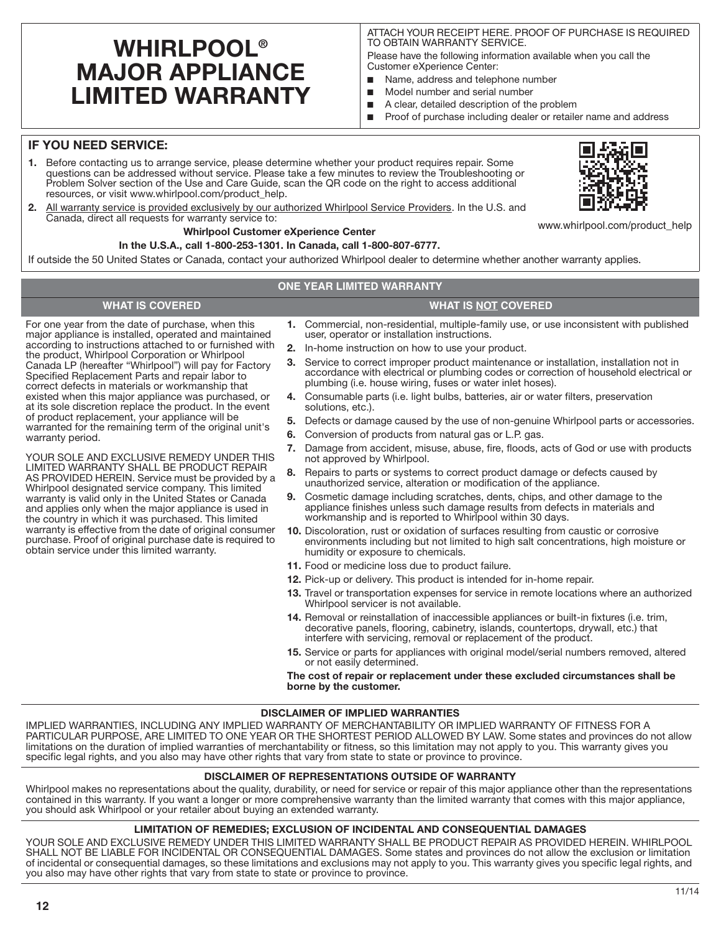# **WHIRLPOOL® MAJOR APPLIANCE LIMITED WARRANTY**

ATTACH YOUR RECEIPT HERE. PROOF OF PURCHASE IS REQUIRED TO OBTAIN WARRANTY SERVICE.

Please have the following information available when you call the Customer eXperience Center:

- Name, address and telephone number
- Model number and serial number
- A clear, detailed description of the problem
- Proof of purchase including dealer or retailer name and address

# **IF YOU NEED SERVICE:**

- **1.** Before contacting us to arrange service, please determine whether your product requires repair. Some questions can be addressed without service. Please take a few minutes to review the Troubleshooting or Problem Solver section of the Use and Care Guide, scan the QR code on the right to access additional resources, or visit www.whirlpool.com/product\_help.
- **2.** All warranty service is provided exclusively by our authorized Whirlpool Service Providers. In the U.S. and Canada, direct all requests for warranty service to:

### **Whirlpool Customer eXperience Center**

### **In the U.S.A., call 1-800-253-1301. In Canada, call 1-800-807-6777.**

If outside the 50 United States or Canada, contact your authorized Whirlpool dealer to determine whether another warranty applies.

### **ONE YEAR LIMITED WARRANTY**

# **WHAT IS COVERED WHAT IS NOT COVERED**

For one year from the date of purchase, when this major appliance is installed, operated and maintained according to instructions attached to or furnished with the product, Whirlpool Corporation or Whirlpool Canada LP (hereafter "Whirlpool") will pay for Factory Specified Replacement Parts and repair labor to correct defects in materials or workmanship that existed when this major appliance was purchased, or at its sole discretion replace the product. In the event of product replacement, your appliance will be warranted for the remaining term of the original unit's warranty period.

YOUR SOLE AND EXCLUSIVE REMEDY UNDER THIS LIMITED WARRANTY SHALL BE PRODUCT REPAIR AS PROVIDED HEREIN. Service must be provided by a Whirlpool designated service company. This limited warranty is valid only in the United States or Canada and applies only when the major appliance is used in the country in which it was purchased. This limited warranty is effective from the date of original consumer purchase. Proof of original purchase date is required to obtain service under this limited warranty.

- **1.** Commercial, non-residential, multiple-family use, or use inconsistent with published user, operator or installation instructions.
- **2.** In-home instruction on how to use your product.
- **3.** Service to correct improper product maintenance or installation, installation not in accordance with electrical or plumbing codes or correction of household electrical or plumbing (i.e. house wiring, fuses or water inlet hoses).
- **4.** Consumable parts (i.e. light bulbs, batteries, air or water filters, preservation solutions, etc.).
- **5.** Defects or damage caused by the use of non-genuine Whirlpool parts or accessories.
- **6.** Conversion of products from natural gas or L.P. gas.
- **7.** Damage from accident, misuse, abuse, fire, floods, acts of God or use with products not approved by Whirlpool.
- **8.** Repairs to parts or systems to correct product damage or defects caused by unauthorized service, alteration or modification of the appliance.
- **9.** Cosmetic damage including scratches, dents, chips, and other damage to the appliance finishes unless such damage results from defects in materials and workmanship and is reported to Whirlpool within 30 days.
- **10.** Discoloration, rust or oxidation of surfaces resulting from caustic or corrosive environments including but not limited to high salt concentrations, high moisture or humidity or exposure to chemicals.
- **11.** Food or medicine loss due to product failure.
- **12.** Pick-up or delivery. This product is intended for in-home repair.
- **13.** Travel or transportation expenses for service in remote locations where an authorized Whirlpool servicer is not available.
- **14.** Removal or reinstallation of inaccessible appliances or built-in fixtures (i.e. trim, decorative panels, flooring, cabinetry, islands, countertops, drywall, etc.) that interfere with servicing, removal or replacement of the product.
- **15.** Service or parts for appliances with original model/serial numbers removed, altered or not easily determined.

### **The cost of repair or replacement under these excluded circumstances shall be borne by the customer.**

### **DISCLAIMER OF IMPLIED WARRANTIES**

IMPLIED WARRANTIES, INCLUDING ANY IMPLIED WARRANTY OF MERCHANTABILITY OR IMPLIED WARRANTY OF FITNESS FOR A PARTICULAR PURPOSE, ARE LIMITED TO ONE YEAR OR THE SHORTEST PERIOD ALLOWED BY LAW. Some states and provinces do not allow limitations on the duration of implied warranties of merchantability or fitness, so this limitation may not apply to you. This warranty gives you specific legal rights, and you also may have other rights that vary from state to state or province to province.

### **DISCLAIMER OF REPRESENTATIONS OUTSIDE OF WARRANTY**

Whirlpool makes no representations about the quality, durability, or need for service or repair of this major appliance other than the representations contained in this warranty. If you want a longer or more comprehensive warranty than the limited warranty that comes with this major appliance, you should ask Whirlpool or your retailer about buying an extended warranty.

### **LIMITATION OF REMEDIES; EXCLUSION OF INCIDENTAL AND CONSEQUENTIAL DAMAGES**

YOUR SOLE AND EXCLUSIVE REMEDY UNDER THIS LIMITED WARRANTY SHALL BE PRODUCT REPAIR AS PROVIDED HEREIN. WHIRLPOOL SHALL NOT BE LIABLE FOR INCIDENTAL OR CONSEQUENTIAL DAMAGES. Some states and provinces do not allow the exclusion or limitation of incidental or consequential damages, so these limitations and exclusions may not apply to you. This warranty gives you specific legal rights, and you also may have other rights that vary from state to state or province to province.





www.whirlpool.com/product\_help